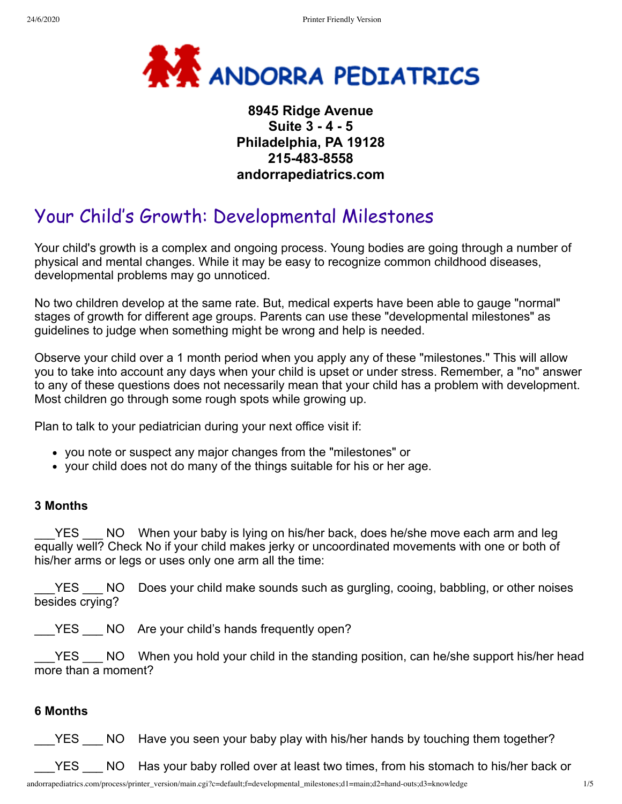

# **8945 Ridge Avenue Suite 3 - 4 - 5 Philadelphia, PA 19128 215-483-8558 andorrapediatrics.com**

# Your Child's Growth: Developmental Milestones

Your child's growth is a complex and ongoing process. Young bodies are going through a number of physical and mental changes. While it may be easy to recognize common childhood diseases, developmental problems may go unnoticed.

No two children develop at the same rate. But, medical experts have been able to gauge "normal" stages of growth for different age groups. Parents can use these "developmental milestones" as guidelines to judge when something might be wrong and help is needed.

Observe your child over a 1 month period when you apply any of these "milestones." This will allow you to take into account any days when your child is upset or under stress. Remember, a "no" answer to any of these questions does not necessarily mean that your child has a problem with development. Most children go through some rough spots while growing up.

Plan to talk to your pediatrician during your next office visit if:

- you note or suspect any major changes from the "milestones" or
- your child does not do many of the things suitable for his or her age.

#### **3 Months**

YES NO When your baby is lying on his/her back, does he/she move each arm and leg equally well? Check No if your child makes jerky or uncoordinated movements with one or both of his/her arms or legs or uses only one arm all the time:

YES ANO Does your child make sounds such as gurgling, cooing, babbling, or other noises besides crying?

\_\_\_YES \_\_\_ NO Are your child's hands frequently open?

YES \_\_\_ NO When you hold your child in the standing position, can he/she support his/her head more than a moment?

#### **6 Months**

YES NO Have you seen your baby play with his/her hands by touching them together?

YES  $\blacksquare$  NO Has your baby rolled over at least two times, from his stomach to his/her back or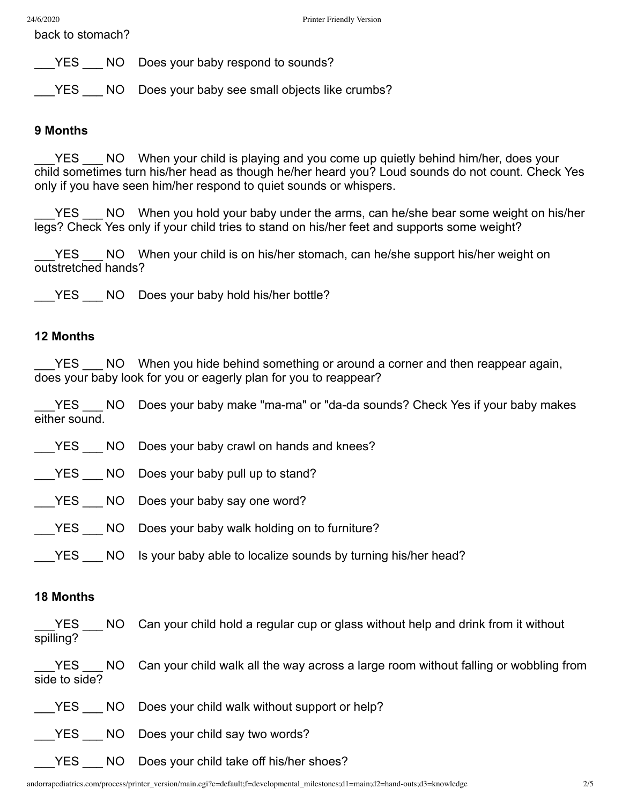back to stomach?

YES NO Does your baby respond to sounds?

YES NO Does your baby see small objects like crumbs?

#### **9 Months**

YES NO When your child is playing and you come up quietly behind him/her, does your child sometimes turn his/her head as though he/her heard you? Loud sounds do not count. Check Yes only if you have seen him/her respond to quiet sounds or whispers.

YES NO When you hold your baby under the arms, can he/she bear some weight on his/her legs? Check Yes only if your child tries to stand on his/her feet and supports some weight?

YES NO When your child is on his/her stomach, can he/she support his/her weight on outstretched hands?

| NO Does your baby hold his/her bottle? |  | <b>YES</b> |  |  |  |  |  |  |  |
|----------------------------------------|--|------------|--|--|--|--|--|--|--|
|----------------------------------------|--|------------|--|--|--|--|--|--|--|

#### **12 Months**

YES \_\_\_ NO When you hide behind something or around a corner and then reappear again, does your baby look for you or eagerly plan for you to reappear?

YES 100 Does your baby make "ma-ma" or "da-da sounds? Check Yes if your baby makes either sound.

| YES NO Does your baby crawl on hands and knees?                      |
|----------------------------------------------------------------------|
| YES NO Does your baby pull up to stand?                              |
| YES NO Does your baby say one word?                                  |
| YES NO Does your baby walk holding on to furniture?                  |
| YES NO Is your baby able to localize sounds by turning his/her head? |

# **18 Months**

YES \_\_\_ NO Can your child hold a regular cup or glass without help and drink from it without spilling?

YES NO Can your child walk all the way across a large room without falling or wobbling from side to side?

YES NO Does your child walk without support or help?

- YES NO Does your child say two words?
- YES NO Does your child take off his/her shoes?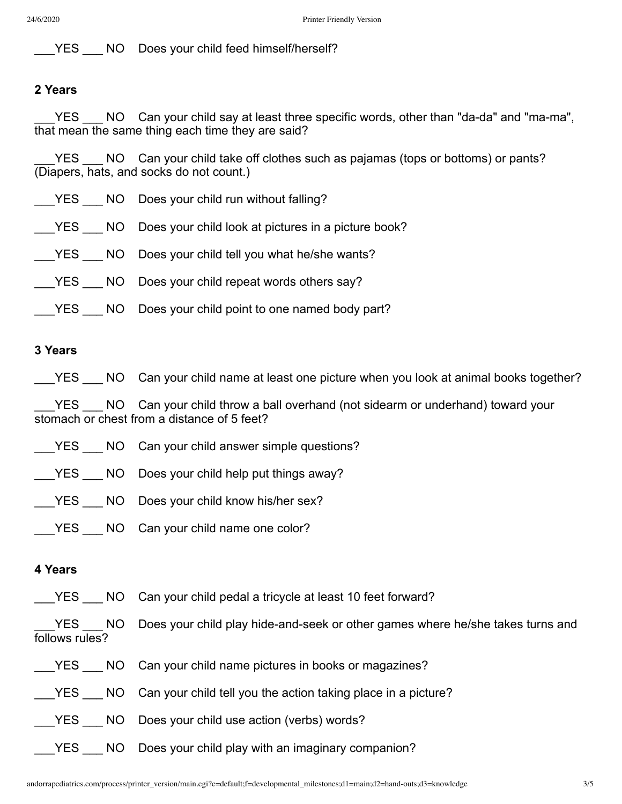YES NO Does your child feed himself/herself?

# **2 Years**

YES NO Can your child say at least three specific words, other than "da-da" and "ma-ma", that mean the same thing each time they are said?

YES NO Can your child take off clothes such as pajamas (tops or bottoms) or pants? (Diapers, hats, and socks do not count.)

| YES NO Does your child run without falling?                |
|------------------------------------------------------------|
| YES NO Does your child look at pictures in a picture book? |
| YES NO Does your child tell you what he/she wants?         |
| YES NO Does your child repeat words others say?            |
| YES NO Does your child point to one named body part?       |
|                                                            |

## **3 Years**

\_\_\_YES \_\_\_ NO Can your child name at least one picture when you look at animal books together?

YES \_\_\_ NO Can your child throw a ball overhand (not sidearm or underhand) toward your stomach or chest from a distance of 5 feet?

- **EXECT:** NO Can your child answer simple questions?
- YES \_\_\_ NO Does your child help put things away?
- YES \_\_\_ NO Does your child know his/her sex?
- YES NO Can your child name one color?

#### **4 Years**

YES NO Can your child pedal a tricycle at least 10 feet forward?

YES NO Does your child play hide-and-seek or other games where he/she takes turns and follows rules?

- YES NO Can your child name pictures in books or magazines?
- YES NO Can your child tell you the action taking place in a picture?
- YES NO Does your child use action (verbs) words?
	- \_YES \_\_\_ NO Does your child play with an imaginary companion?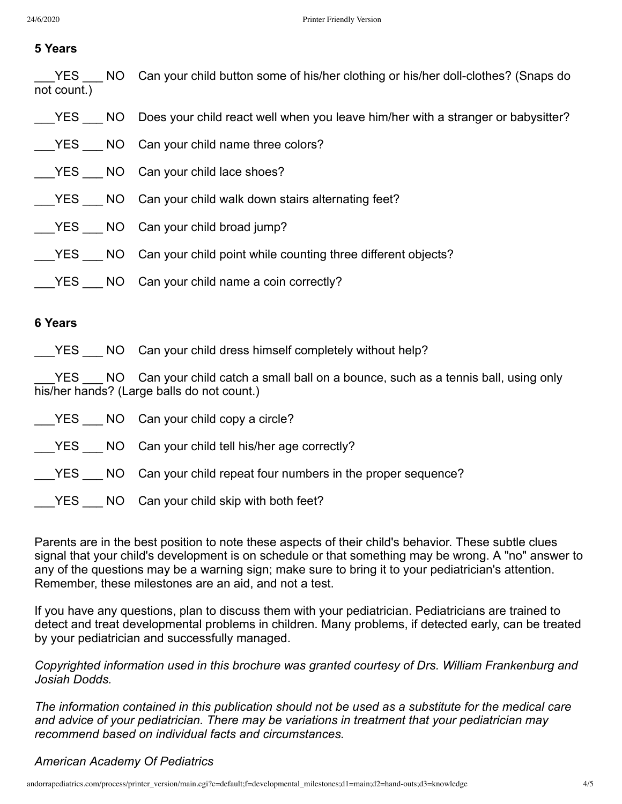# **5 Years**

| not count.) | YES NO Can your child button some of his/her clothing or his/her doll-clothes? (Snaps do |
|-------------|------------------------------------------------------------------------------------------|
|             | YES NO Does your child react well when you leave him/her with a stranger or babysitter?  |
|             |                                                                                          |
|             | YES NO Can your child lace shoes?                                                        |
|             | YES NO Can your child walk down stairs alternating feet?                                 |
|             | YES NO Can your child broad jump?                                                        |
|             | YES NO Can your child point while counting three different objects?                      |
|             | YES NO Can your child name a coin correctly?                                             |

#### **6 Years**

\_\_\_YES \_\_\_ NO Can your child dress himself completely without help?

YES \_\_\_ NO Can your child catch a small ball on a bounce, such as a tennis ball, using only his/her hands? (Large balls do not count.)

|  | YES NO Can your child copy a circle?                              |
|--|-------------------------------------------------------------------|
|  | YES NO Can your child tell his/her age correctly?                 |
|  | YES NO Can your child repeat four numbers in the proper sequence? |
|  | YES NO Can your child skip with both feet?                        |

Parents are in the best position to note these aspects of their child's behavior. These subtle clues signal that your child's development is on schedule or that something may be wrong. A "no" answer to any of the questions may be a warning sign; make sure to bring it to your pediatrician's attention. Remember, these milestones are an aid, and not a test.

If you have any questions, plan to discuss them with your pediatrician. Pediatricians are trained to detect and treat developmental problems in children. Many problems, if detected early, can be treated by your pediatrician and successfully managed.

*Copyrighted information used in this brochure was granted courtesy of Drs. William Frankenburg and Josiah Dodds.*

*The information contained in this publication should not be used as a substitute for the medical care and advice of your pediatrician. There may be variations in treatment that your pediatrician may recommend based on individual facts and circumstances.*

# *American Academy Of Pediatrics*